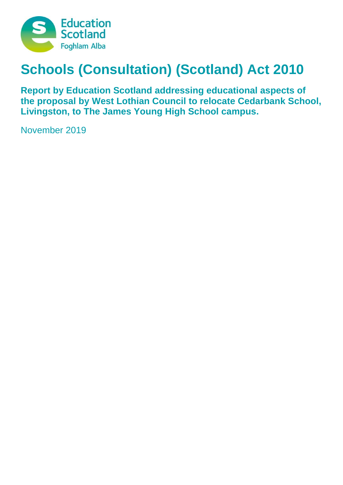

# **Schools (Consultation) (Scotland) Act 2010**

**Report by Education Scotland addressing educational aspects of the proposal by West Lothian Council to relocate Cedarbank School, Livingston, to The James Young High School campus.**

November 2019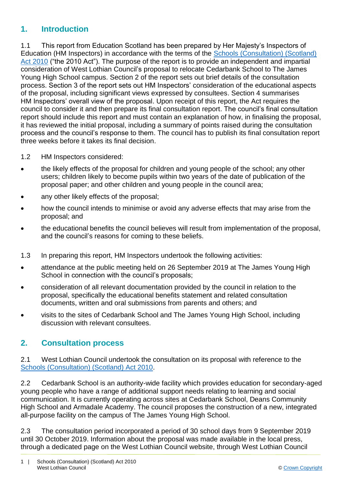### **1. Introduction**

1.1 This report from Education Scotland has been prepared by Her Majesty's Inspectors of Education (HM Inspectors) in accordance with the terms of the [Schools \(Consultation\) \(Scotland\)](https://www.google.co.uk/url?sa=t&rct=j&q=&esrc=s&source=web&cd=1&cad=rja&uact=8&ved=2ahUKEwj9-7GYkvLeAhXOasAKHT9vCtMQFjAAegQICRAB&url=https%3A%2F%2Fwww.legislation.gov.uk%2Fasp%2F2010%2F2%2Fcontents&usg=AOvVaw2lRwXOuXBCn_fz2wA9W6o2)  [Act 2010](https://www.google.co.uk/url?sa=t&rct=j&q=&esrc=s&source=web&cd=1&cad=rja&uact=8&ved=2ahUKEwj9-7GYkvLeAhXOasAKHT9vCtMQFjAAegQICRAB&url=https%3A%2F%2Fwww.legislation.gov.uk%2Fasp%2F2010%2F2%2Fcontents&usg=AOvVaw2lRwXOuXBCn_fz2wA9W6o2) ("the 2010 Act"). The purpose of the report is to provide an independent and impartial consideration of West Lothian Council's proposal to relocate Cedarbank School to The James Young High School campus. Section 2 of the report sets out brief details of the consultation process. Section 3 of the report sets out HM Inspectors' consideration of the educational aspects of the proposal, including significant views expressed by consultees. Section 4 summarises HM Inspectors' overall view of the proposal. Upon receipt of this report, the Act requires the council to consider it and then prepare its final consultation report. The council's final consultation report should include this report and must contain an explanation of how, in finalising the proposal, it has reviewed the initial proposal, including a summary of points raised during the consultation process and the council's response to them. The council has to publish its final consultation report three weeks before it takes its final decision.

- 1.2 HM Inspectors considered:
- the likely effects of the proposal for children and young people of the school; any other users; children likely to become pupils within two years of the date of publication of the proposal paper; and other children and young people in the council area;
- any other likely effects of the proposal;
- how the council intends to minimise or avoid any adverse effects that may arise from the proposal; and
- the educational benefits the council believes will result from implementation of the proposal, and the council's reasons for coming to these beliefs.
- 1.3 In preparing this report, HM Inspectors undertook the following activities:
- attendance at the public meeting held on 26 September 2019 at The James Young High School in connection with the council's proposals;
- consideration of all relevant documentation provided by the council in relation to the proposal, specifically the educational benefits statement and related consultation documents, written and oral submissions from parents and others; and
- visits to the sites of Cedarbank School and The James Young High School, including discussion with relevant consultees.

#### **2. Consultation process**

2.1 West Lothian Council undertook the consultation on its proposal with reference to the [Schools \(Consultation\) \(Scotland\) Act 2010.](https://www.google.co.uk/url?sa=t&rct=j&q=&esrc=s&source=web&cd=1&cad=rja&uact=8&ved=2ahUKEwj9-7GYkvLeAhXOasAKHT9vCtMQFjAAegQICRAB&url=https%3A%2F%2Fwww.legislation.gov.uk%2Fasp%2F2010%2F2%2Fcontents&usg=AOvVaw2lRwXOuXBCn_fz2wA9W6o2)

2.2 Cedarbank School is an authority-wide facility which provides education for secondary-aged young people who have a range of additional support needs relating to learning and social communication. It is currently operating across sites at Cedarbank School, Deans Community High School and Armadale Academy. The council proposes the construction of a new, integrated all-purpose facility on the campus of The James Young High School.

2.3 The consultation period incorporated a period of 30 school days from 9 September 2019 until 30 October 2019. Information about the proposal was made available in the local press, through a dedicated page on the West Lothian Council website, through West Lothian Council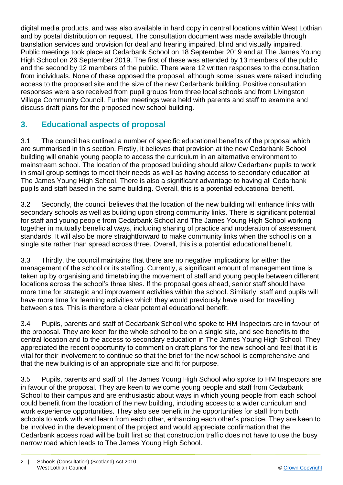digital media products, and was also available in hard copy in central locations within West Lothian and by postal distribution on request. The consultation document was made available through translation services and provision for deaf and hearing impaired, blind and visually impaired. Public meetings took place at Cedarbank School on 18 September 2019 and at The James Young High School on 26 September 2019. The first of these was attended by 13 members of the public and the second by 12 members of the public. There were 12 written responses to the consultation from individuals. None of these opposed the proposal, although some issues were raised including access to the proposed site and the size of the new Cedarbank building. Positive consultation responses were also received from pupil groups from three local schools and from Livingston Village Community Council. Further meetings were held with parents and staff to examine and discuss draft plans for the proposed new school building.

# **3. Educational aspects of proposal**

3.1 The council has outlined a number of specific educational benefits of the proposal which are summarised in this section. Firstly, it believes that provision at the new Cedarbank School building will enable young people to access the curriculum in an alternative environment to mainstream school. The location of the proposed building should allow Cedarbank pupils to work in small group settings to meet their needs as well as having access to secondary education at The James Young High School. There is also a significant advantage to having all Cedarbank pupils and staff based in the same building. Overall, this is a potential educational benefit.

3.2 Secondly, the council believes that the location of the new building will enhance links with secondary schools as well as building upon strong community links. There is significant potential for staff and young people from Cedarbank School and The James Young High School working together in mutually beneficial ways, including sharing of practice and moderation of assessment standards. It will also be more straightforward to make community links when the school is on a single site rather than spread across three. Overall, this is a potential educational benefit.

3.3 Thirdly, the council maintains that there are no negative implications for either the management of the school or its staffing. Currently, a significant amount of management time is taken up by organising and timetabling the movement of staff and young people between different locations across the school's three sites. If the proposal goes ahead, senior staff should have more time for strategic and improvement activities within the school. Similarly, staff and pupils will have more time for learning activities which they would previously have used for travelling between sites. This is therefore a clear potential educational benefit.

3.4 Pupils, parents and staff of Cedarbank School who spoke to HM Inspectors are in favour of the proposal. They are keen for the whole school to be on a single site, and see benefits to the central location and to the access to secondary education in The James Young High School. They appreciated the recent opportunity to comment on draft plans for the new school and feel that it is vital for their involvement to continue so that the brief for the new school is comprehensive and that the new building is of an appropriate size and fit for purpose.

3.5 Pupils, parents and staff of The James Young High School who spoke to HM Inspectors are in favour of the proposal. They are keen to welcome young people and staff from Cedarbank School to their campus and are enthusiastic about ways in which young people from each school could benefit from the location of the new building, including access to a wider curriculum and work experience opportunities. They also see benefit in the opportunities for staff from both schools to work with and learn from each other, enhancing each other's practice. They are keen to be involved in the development of the project and would appreciate confirmation that the Cedarbank access road will be built first so that construction traffic does not have to use the busy narrow road which leads to The James Young High School.